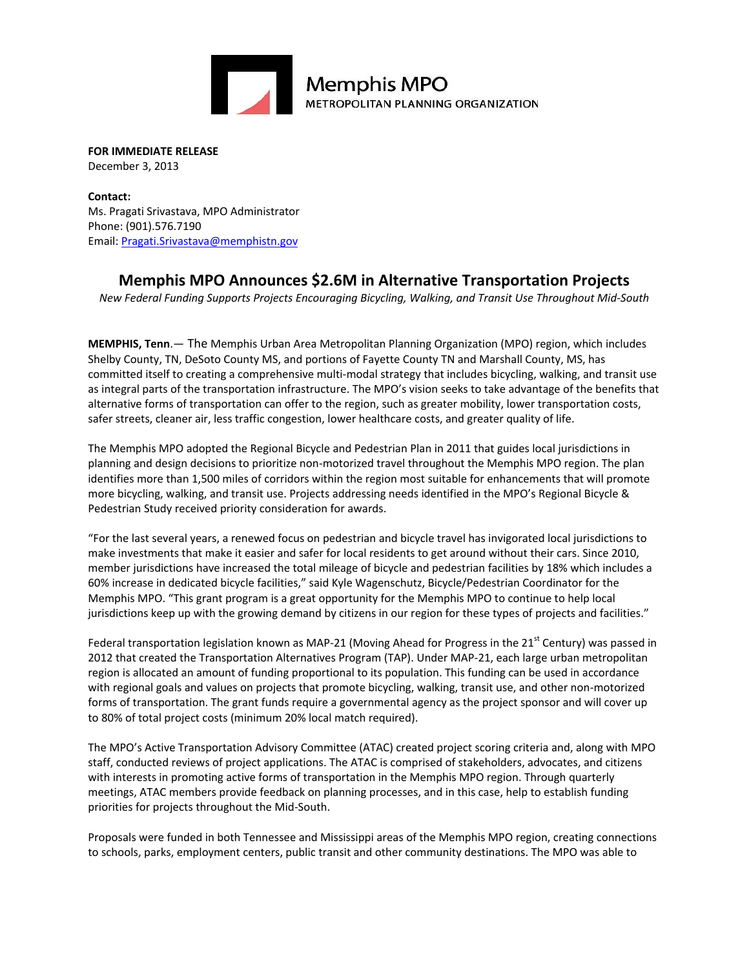

Memphis MPO METROPOLITAN PLANNING ORGANIZATION

## **FOR IMMEDIATE RELEASE**

December 3, 2013

**Contact:** Ms. Pragati Srivastava, MPO Administrator Phone: (901).576.7190 Email: [Pragati.Srivastava@memphistn.gov](mailto:info@hornsbybrandesign.com)

## **Memphis MPO Announces \$2.6M in Alternative Transportation Projects**

*New Federal Funding Supports Projects Encouraging Bicycling, Walking, and Transit Use Throughout Mid-South*

**MEMPHIS, Tenn**.— The Memphis Urban Area Metropolitan Planning Organization (MPO) region, which includes Shelby County, TN, DeSoto County MS, and portions of Fayette County TN and Marshall County, MS, has committed itself to creating a comprehensive multi-modal strategy that includes bicycling, walking, and transit use as integral parts of the transportation infrastructure. The MPO's vision seeks to take advantage of the benefits that alternative forms of transportation can offer to the region, such as greater mobility, lower transportation costs, safer streets, cleaner air, less traffic congestion, lower healthcare costs, and greater quality of life.

The Memphis MPO adopted the Regional Bicycle and Pedestrian Plan in 2011 that guides local jurisdictions in planning and design decisions to prioritize non-motorized travel throughout the Memphis MPO region. The plan identifies more than 1,500 miles of corridors within the region most suitable for enhancements that will promote more bicycling, walking, and transit use. Projects addressing needs identified in the MPO's Regional Bicycle & Pedestrian Study received priority consideration for awards.

"For the last several years, a renewed focus on pedestrian and bicycle travel has invigorated local jurisdictions to make investments that make it easier and safer for local residents to get around without their cars. Since 2010, member jurisdictions have increased the total mileage of bicycle and pedestrian facilities by 18% which includes a 60% increase in dedicated bicycle facilities," said Kyle Wagenschutz, Bicycle/Pedestrian Coordinator for the Memphis MPO. "This grant program is a great opportunity for the Memphis MPO to continue to help local jurisdictions keep up with the growing demand by citizens in our region for these types of projects and facilities."

Federal transportation legislation known as MAP-21 (Moving Ahead for Progress in the 21<sup>st</sup> Century) was passed in 2012 that created the Transportation Alternatives Program (TAP). Under MAP-21, each large urban metropolitan region is allocated an amount of funding proportional to its population. This funding can be used in accordance with regional goals and values on projects that promote bicycling, walking, transit use, and other non-motorized forms of transportation. The grant funds require a governmental agency as the project sponsor and will cover up to 80% of total project costs (minimum 20% local match required).

The MPO's Active Transportation Advisory Committee (ATAC) created project scoring criteria and, along with MPO staff, conducted reviews of project applications. The ATAC is comprised of stakeholders, advocates, and citizens with interests in promoting active forms of transportation in the Memphis MPO region. Through quarterly meetings, ATAC members provide feedback on planning processes, and in this case, help to establish funding priorities for projects throughout the Mid-South.

Proposals were funded in both Tennessee and Mississippi areas of the Memphis MPO region, creating connections to schools, parks, employment centers, public transit and other community destinations. The MPO was able to